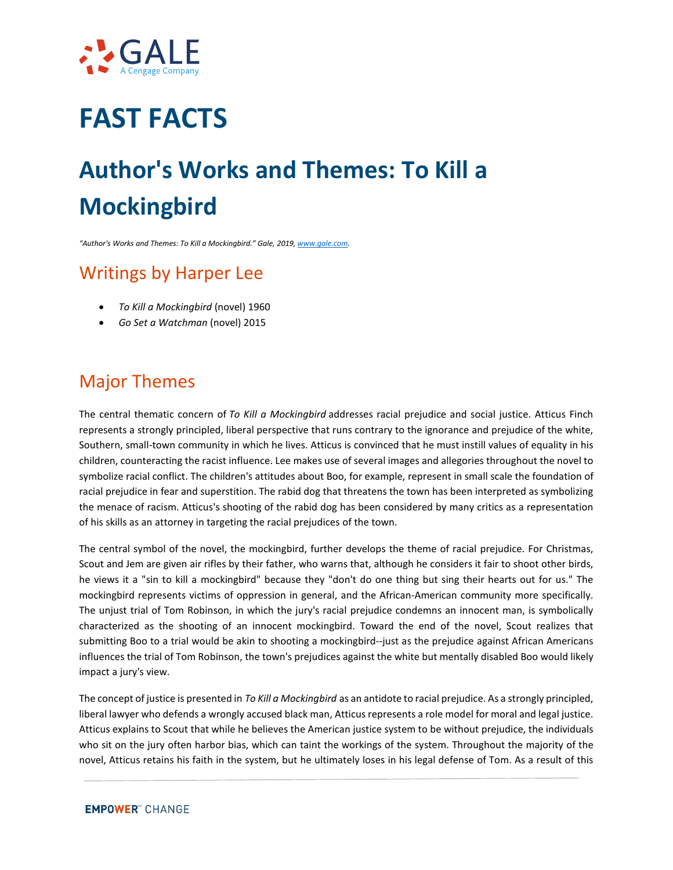

## **FAST FACTS**

# **Author's Works and Themes: To Kill a Mockingbird**

*"Author's Works and Themes: To Kill a Mockingbird." Gale, 2019[, www.gale.com.](http://www.gale.com/)*

### Writings by Harper Lee

- *To Kill a Mockingbird* (novel) 1960
- *Go Set a Watchman* (novel) 2015

#### Major Themes

The central thematic concern of *To Kill a Mockingbird* addresses racial prejudice and social justice. Atticus Finch represents a strongly principled, liberal perspective that runs contrary to the ignorance and prejudice of the white, Southern, small-town community in which he lives. Atticus is convinced that he must instill values of equality in his children, counteracting the racist influence. Lee makes use of several images and allegories throughout the novel to symbolize racial conflict. The children's attitudes about Boo, for example, represent in small scale the foundation of racial prejudice in fear and superstition. The rabid dog that threatens the town has been interpreted as symbolizing the menace of racism. Atticus's shooting of the rabid dog has been considered by many critics as a representation of his skills as an attorney in targeting the racial prejudices of the town.

The central symbol of the novel, the mockingbird, further develops the theme of racial prejudice. For Christmas, Scout and Jem are given air rifles by their father, who warns that, although he considers it fair to shoot other birds, he views it a "sin to kill a mockingbird" because they "don't do one thing but sing their hearts out for us." The mockingbird represents victims of oppression in general, and the African-American community more specifically. The unjust trial of Tom Robinson, in which the jury's racial prejudice condemns an innocent man, is symbolically characterized as the shooting of an innocent mockingbird. Toward the end of the novel, Scout realizes that submitting Boo to a trial would be akin to shooting a mockingbird--just as the prejudice against African Americans influences the trial of Tom Robinson, the town's prejudices against the white but mentally disabled Boo would likely impact a jury's view.

The concept of justice is presented in *To Kill a Mockingbird* as an antidote to racial prejudice. As a strongly principled, liberal lawyer who defends a wrongly accused black man, Atticus represents a role model for moral and legal justice. Atticus explains to Scout that while he believes the American justice system to be without prejudice, the individuals who sit on the jury often harbor bias, which can taint the workings of the system. Throughout the majority of the novel, Atticus retains his faith in the system, but he ultimately loses in his legal defense of Tom. As a result of this